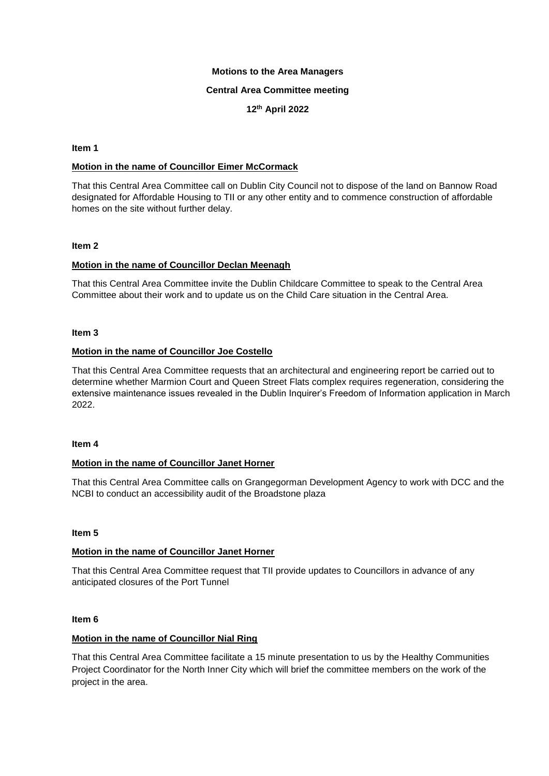### **Motions to the Area Managers**

### **Central Area Committee meeting**

# **12th April 2022**

### **Item 1**

## **Motion in the name of Councillor Eimer McCormack**

That this Central Area Committee call on Dublin City Council not to dispose of the land on Bannow Road designated for Affordable Housing to TII or any other entity and to commence construction of affordable homes on the site without further delay.

### **Item 2**

## **Motion in the name of Councillor Declan Meenagh**

That this Central Area Committee invite the Dublin Childcare Committee to speak to the Central Area Committee about their work and to update us on the Child Care situation in the Central Area.

### **Item 3**

## **Motion in the name of Councillor Joe Costello**

That this Central Area Committee requests that an architectural and engineering report be carried out to determine whether Marmion Court and Queen Street Flats complex requires regeneration, considering the extensive maintenance issues revealed in the Dublin Inquirer's Freedom of Information application in March 2022.

## **Item 4**

## **Motion in the name of Councillor Janet Horner**

That this Central Area Committee calls on Grangegorman Development Agency to work with DCC and the NCBI to conduct an accessibility audit of the Broadstone plaza

## **Item 5**

## **Motion in the name of Councillor Janet Horner**

That this Central Area Committee request that TII provide updates to Councillors in advance of any anticipated closures of the Port Tunnel

### **Item 6**

## **Motion in the name of Councillor Nial Ring**

That this Central Area Committee facilitate a 15 minute presentation to us by the Healthy Communities Project Coordinator for the North Inner City which will brief the committee members on the work of the project in the area.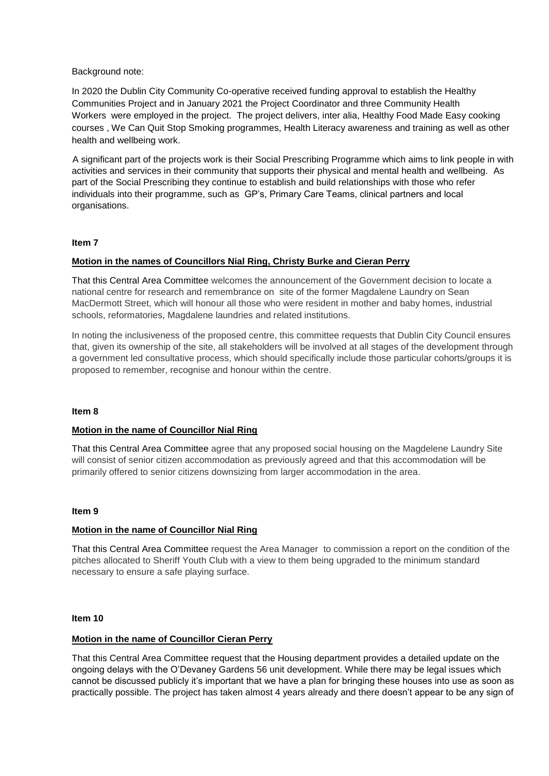### Background note:

In 2020 the Dublin City Community Co-operative received funding approval to establish the Healthy Communities Project and in January 2021 the Project Coordinator and three Community Health Workers were employed in the project. The project delivers, inter alia, Healthy Food Made Easy cooking courses , We Can Quit Stop Smoking programmes, Health Literacy awareness and training as well as other health and wellbeing work.

A significant part of the projects work is their Social Prescribing Programme which aims to link people in with activities and services in their community that supports their physical and mental health and wellbeing. As part of the Social Prescribing they continue to establish and build relationships with those who refer individuals into their programme, such as GP's, Primary Care Teams, clinical partners and local organisations.

### **Item 7**

## **Motion in the names of Councillors Nial Ring, Christy Burke and Cieran Perry**

That this Central Area Committee welcomes the announcement of the Government decision to locate a national centre for research and remembrance on site of the former Magdalene Laundry on Sean MacDermott Street, which will honour all those who were resident in mother and baby homes, industrial schools, reformatories, Magdalene laundries and related institutions.

In noting the inclusiveness of the proposed centre, this committee requests that Dublin City Council ensures that, given its ownership of the site, all stakeholders will be involved at all stages of the development through a government led consultative process, which should specifically include those particular cohorts/groups it is proposed to remember, recognise and honour within the centre.

#### **Item 8**

## **Motion in the name of Councillor Nial Ring**

That this Central Area Committee agree that any proposed social housing on the Magdelene Laundry Site will consist of senior citizen accommodation as previously agreed and that this accommodation will be primarily offered to senior citizens downsizing from larger accommodation in the area.

## **Item 9**

## **Motion in the name of Councillor Nial Ring**

That this Central Area Committee request the Area Manager to commission a report on the condition of the pitches allocated to Sheriff Youth Club with a view to them being upgraded to the minimum standard necessary to ensure a safe playing surface.

### **Item 10**

#### **Motion in the name of Councillor Cieran Perry**

That this Central Area Committee request that the Housing department provides a detailed update on the ongoing delays with the O'Devaney Gardens 56 unit development. While there may be legal issues which cannot be discussed publicly it's important that we have a plan for bringing these houses into use as soon as practically possible. The project has taken almost 4 years already and there doesn't appear to be any sign of